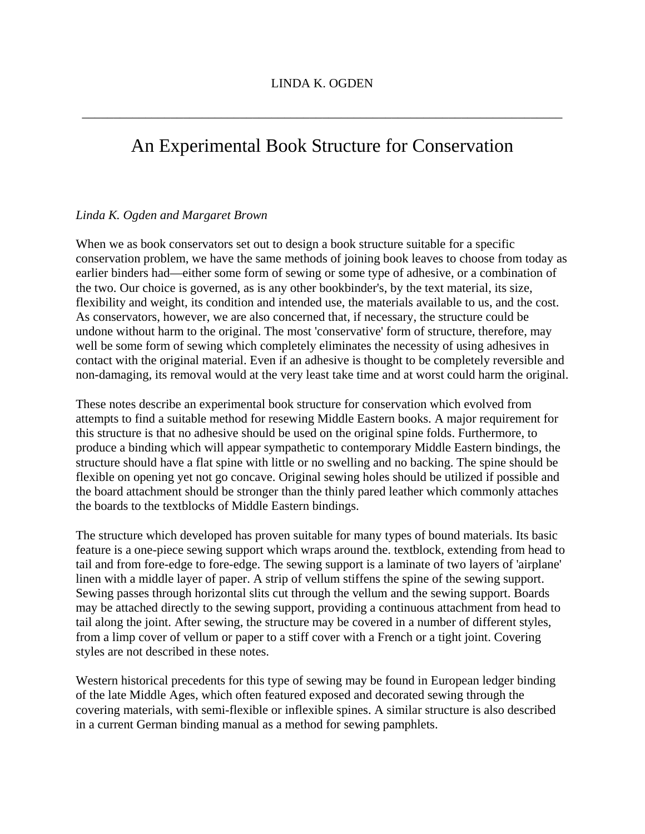\_\_\_\_\_\_\_\_\_\_\_\_\_\_\_\_\_\_\_\_\_\_\_\_\_\_\_\_\_\_\_\_\_\_\_\_\_\_\_\_\_\_\_\_\_\_\_\_\_\_\_\_\_\_\_\_\_\_\_\_\_\_\_\_\_\_\_\_\_\_\_\_\_\_\_\_

## An Experimental Book Structure for Conservation

#### *Linda K. Ogden and Margaret Brown*

When we as book conservators set out to design a book structure suitable for a specific conservation problem, we have the same methods of joining book leaves to choose from today as earlier binders had—either some form of sewing or some type of adhesive, or a combination of the two. Our choice is governed, as is any other bookbinder's, by the text material, its size, flexibility and weight, its condition and intended use, the materials available to us, and the cost. As conservators, however, we are also concerned that, if necessary, the structure could be undone without harm to the original. The most 'conservative' form of structure, therefore, may well be some form of sewing which completely eliminates the necessity of using adhesives in contact with the original material. Even if an adhesive is thought to be completely reversible and non-damaging, its removal would at the very least take time and at worst could harm the original.

These notes describe an experimental book structure for conservation which evolved from attempts to find a suitable method for resewing Middle Eastern books. A major requirement for this structure is that no adhesive should be used on the original spine folds. Furthermore, to produce a binding which will appear sympathetic to contemporary Middle Eastern bindings, the structure should have a flat spine with little or no swelling and no backing. The spine should be flexible on opening yet not go concave. Original sewing holes should be utilized if possible and the board attachment should be stronger than the thinly pared leather which commonly attaches the boards to the textblocks of Middle Eastern bindings.

The structure which developed has proven suitable for many types of bound materials. Its basic feature is a one-piece sewing support which wraps around the. textblock, extending from head to tail and from fore-edge to fore-edge. The sewing support is a laminate of two layers of 'airplane' linen with a middle layer of paper. A strip of vellum stiffens the spine of the sewing support. Sewing passes through horizontal slits cut through the vellum and the sewing support. Boards may be attached directly to the sewing support, providing a continuous attachment from head to tail along the joint. After sewing, the structure may be covered in a number of different styles, from a limp cover of vellum or paper to a stiff cover with a French or a tight joint. Covering styles are not described in these notes.

Western historical precedents for this type of sewing may be found in European ledger binding of the late Middle Ages, which often featured exposed and decorated sewing through the covering materials, with semi-flexible or inflexible spines. A similar structure is also described in a current German binding manual as a method for sewing pamphlets.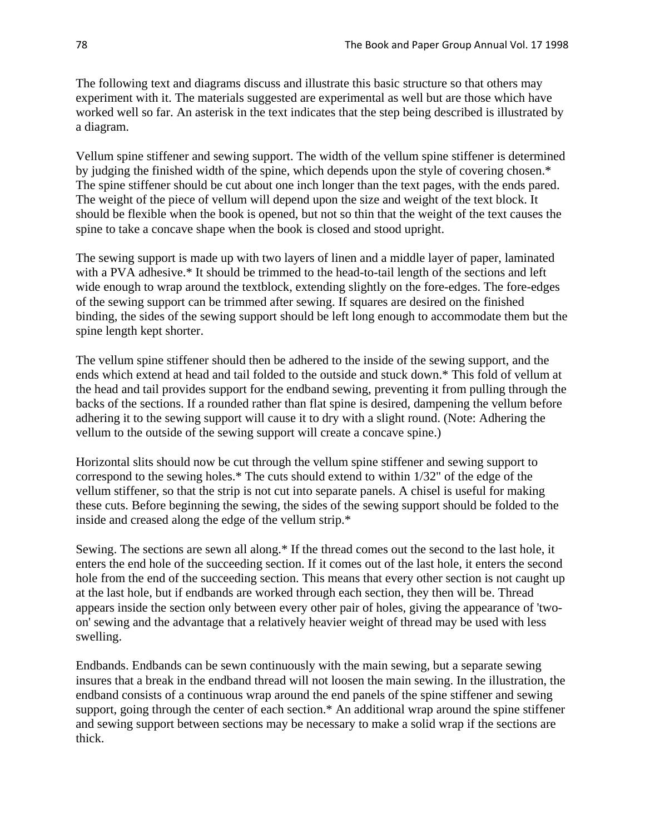The following text and diagrams discuss and illustrate this basic structure so that others may experiment with it. The materials suggested are experimental as well but are those which have worked well so far. An asterisk in the text indicates that the step being described is illustrated by a diagram.

Vellum spine stiffener and sewing support. The width of the vellum spine stiffener is determined by judging the finished width of the spine, which depends upon the style of covering chosen.\* The spine stiffener should be cut about one inch longer than the text pages, with the ends pared. The weight of the piece of vellum will depend upon the size and weight of the text block. It should be flexible when the book is opened, but not so thin that the weight of the text causes the spine to take a concave shape when the book is closed and stood upright.

The sewing support is made up with two layers of linen and a middle layer of paper, laminated with a PVA adhesive.<sup>\*</sup> It should be trimmed to the head-to-tail length of the sections and left wide enough to wrap around the textblock, extending slightly on the fore-edges. The fore-edges of the sewing support can be trimmed after sewing. If squares are desired on the finished binding, the sides of the sewing support should be left long enough to accommodate them but the spine length kept shorter.

The vellum spine stiffener should then be adhered to the inside of the sewing support, and the ends which extend at head and tail folded to the outside and stuck down.\* This fold of vellum at the head and tail provides support for the endband sewing, preventing it from pulling through the backs of the sections. If a rounded rather than flat spine is desired, dampening the vellum before adhering it to the sewing support will cause it to dry with a slight round. (Note: Adhering the vellum to the outside of the sewing support will create a concave spine.)

Horizontal slits should now be cut through the vellum spine stiffener and sewing support to correspond to the sewing holes.\* The cuts should extend to within 1/32" of the edge of the vellum stiffener, so that the strip is not cut into separate panels. A chisel is useful for making these cuts. Before beginning the sewing, the sides of the sewing support should be folded to the inside and creased along the edge of the vellum strip.\*

Sewing. The sections are sewn all along.\* If the thread comes out the second to the last hole, it enters the end hole of the succeeding section. If it comes out of the last hole, it enters the second hole from the end of the succeeding section. This means that every other section is not caught up at the last hole, but if endbands are worked through each section, they then will be. Thread appears inside the section only between every other pair of holes, giving the appearance of 'twoon' sewing and the advantage that a relatively heavier weight of thread may be used with less swelling.

Endbands. Endbands can be sewn continuously with the main sewing, but a separate sewing insures that a break in the endband thread will not loosen the main sewing. In the illustration, the endband consists of a continuous wrap around the end panels of the spine stiffener and sewing support, going through the center of each section.\* An additional wrap around the spine stiffener and sewing support between sections may be necessary to make a solid wrap if the sections are thick.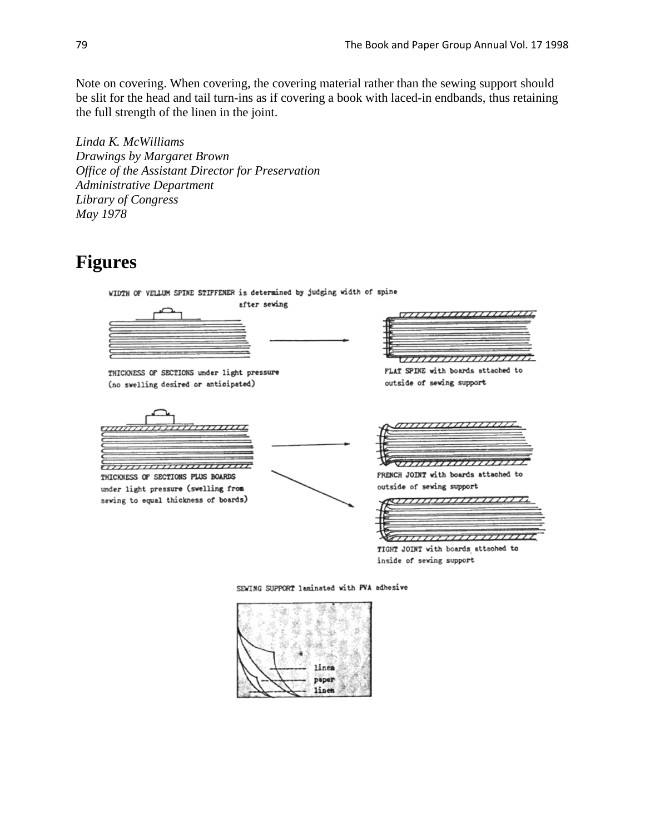Note on covering. When covering, the covering material rather than the sewing support should be slit for the head and tail turn-ins as if covering a book with laced-in endbands, thus retaining the full strength of the linen in the joint.

*Linda K. McWilliams Drawings by Margaret Brown Office of the Assistant Director for Preservation Administrative Department Library of Congress May 1978*

### **Figures**

WIDTH OF VELLUM SPINE STIFFENER is determined by judging width of spine



THICKNESS OF SECTIONS under light pressure (no swelling desired or anticipated)



THICKNESS OF SECTIONS PLUS BOARDS under light pressure (swelling from sewing to equal thickness of boards)





FLAT SPINE with boards attached to outside of sewing support

|  | <i>annuunnauun</i> |       |  |
|--|--------------------|-------|--|
|  |                    |       |  |
|  |                    |       |  |
|  |                    | ,,,,, |  |

FRENCH JOINT with boards attached to outside of sewing support

|  | ,,,,,,,,,,,,,,,,,,, |  |
|--|---------------------|--|
|  |                     |  |
|  |                     |  |
|  | ,,,,,,,,,,,,,,,,,,, |  |

TIGHT JOINT with boards attached to inside of sewing support

SEWING SUPPORT laminated with PVA adhesive

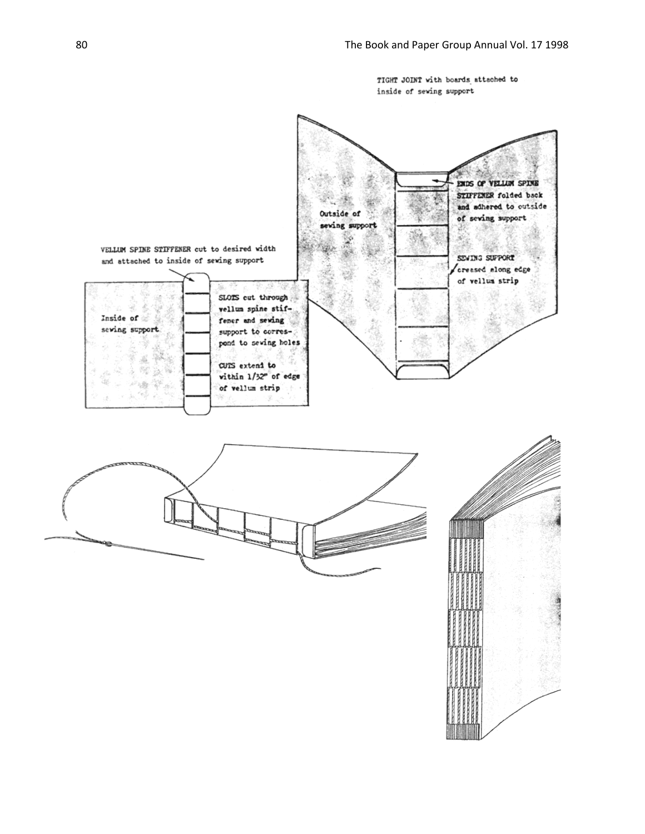TIGHT JOINT with boards attached to inside of seving support